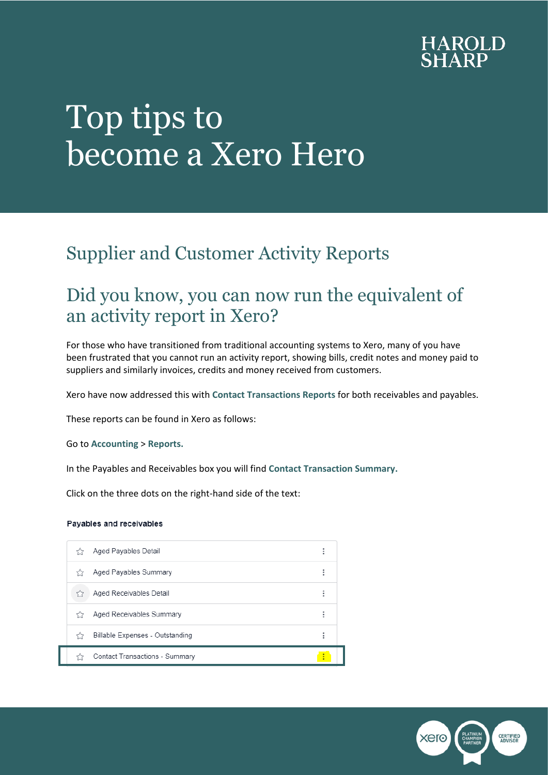

# Top tips to become a Xero Hero

## Supplier and Customer Activity Reports

### Did you know, you can now run the equivalent of an activity report in Xero?

For those who have transitioned from traditional accounting systems to Xero, many of you have been frustrated that you cannot run an activity report, showing bills, credit notes and money paid to suppliers and similarly invoices, credits and money received from customers.

Xero have now addressed this with **Contact Transactions Reports** for both receivables and payables.

These reports can be found in Xero as follows:

Go to **Accounting** > **Reports.**

In the Payables and Receivables box you will find **Contact Transaction Summary.**

Click on the three dots on the right-hand side of the text:

#### Payables and receivables

|    | Aged Payables Detail            | ÷ |
|----|---------------------------------|---|
| くう | Aged Payables Summary           | ٠ |
|    | Aged Receivables Detail         | ŧ |
|    | Aged Receivables Summary        | ٠ |
|    | Billable Expenses - Outstanding | ÷ |
|    | Contact Transactions - Summary  | ٠ |

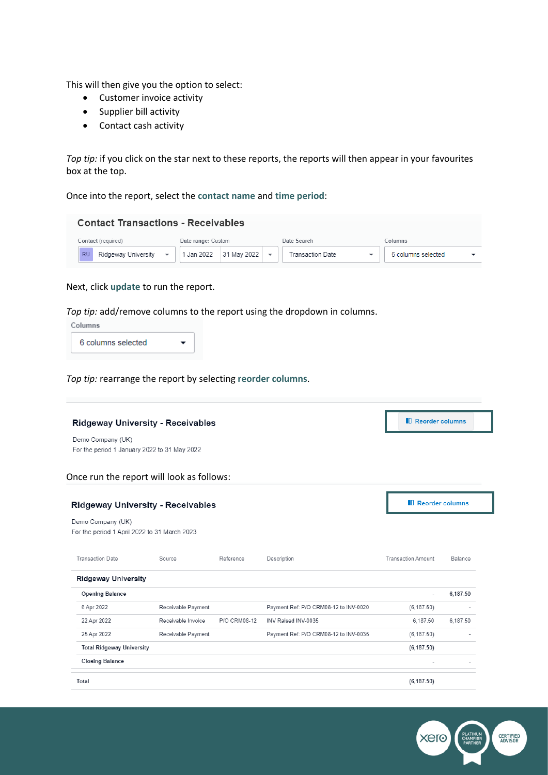This will then give you the option to select:

- Customer invoice activity
- Supplier bill activity
- Contact cash activity

*Top tip:* if you click on the star next to these reports, the reports will then appear in your favourites box at the top.

Once into the report, select the **contact name** and **time period**:

| <b>Contact Transactions - Receivables</b> |                        |                  |                    |  |  |  |  |  |  |  |  |  |
|-------------------------------------------|------------------------|------------------|--------------------|--|--|--|--|--|--|--|--|--|
| Contact (required)                        | Date range: Custom     | Date Search      | Columns            |  |  |  |  |  |  |  |  |  |
| <b>RU</b><br>Ridgeway University          | 1 Jan 2022 31 May 2022 | Transaction Date | 6 columns selected |  |  |  |  |  |  |  |  |  |

#### Next, click **update** to run the report.

*Top tip:* add/remove columns to the report using the dropdown in columns.

Columns

6 columns selected  $\overline{\phantom{0}}$ 

*Top tip:* rearrange the report by selecting **reorder columns**.

| <b>Ridgeway University - Receivables</b>                          | <b>N</b> Reorder columns                  |              |                                       |                           |          |
|-------------------------------------------------------------------|-------------------------------------------|--------------|---------------------------------------|---------------------------|----------|
| Demo Company (UK)<br>For the period 1 January 2022 to 31 May 2022 |                                           |              |                                       |                           |          |
|                                                                   | Once run the report will look as follows: |              |                                       |                           |          |
| <b>Ridgeway University - Receivables</b>                          | <b>Neorder columns</b>                    |              |                                       |                           |          |
| Demo Company (UK)<br>For the period 1 April 2022 to 31 March 2023 |                                           |              |                                       |                           |          |
| <b>Transaction Date</b>                                           | Source                                    | Reference    | Description                           | <b>Transaction Amount</b> | Balance  |
| <b>Ridgeway University</b>                                        |                                           |              |                                       |                           |          |
| <b>Opening Balance</b>                                            |                                           |              |                                       |                           | 6,187.50 |
| 6 Apr 2022                                                        | Receivable Payment                        |              | Payment Ref: P/O CRM08-12 to INV-0020 | (6.187.50)                |          |
| 22 Apr 2022                                                       | Receivable Invoice                        | P/O CRM08-12 | INV Raised INV-0035                   | 6,187.50                  | 6,187.50 |
| 25 Apr 2022                                                       | Receivable Payment                        |              | Payment Ref: P/O CRM08-12 to INV-0035 | (6, 187.50)               |          |
| <b>Total Ridgeway University</b>                                  |                                           |              |                                       | (6, 187.50)               |          |
| <b>Closing Balance</b>                                            |                                           |              |                                       |                           |          |
|                                                                   |                                           |              |                                       |                           |          |